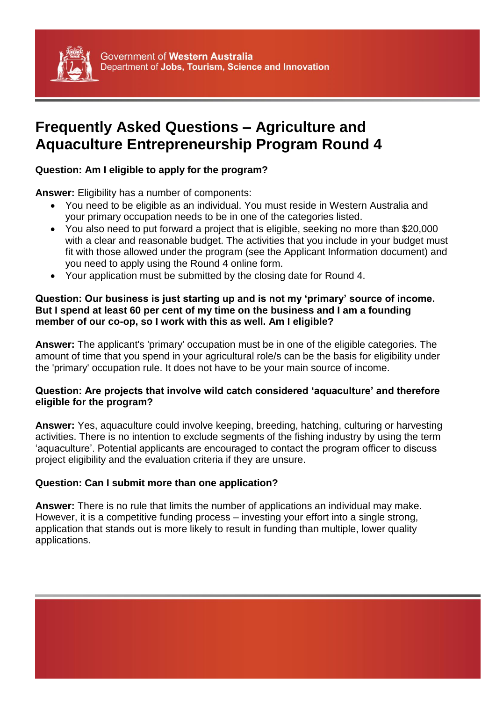

# **Frequently Asked Questions – Agriculture and Aquaculture Entrepreneurship Program Round 4**

## **Question: Am I eligible to apply for the program?**

**Answer:** Eligibility has a number of components:

- You need to be eligible as an individual. You must reside in Western Australia and your primary occupation needs to be in one of the categories listed.
- You also need to put forward a project that is eligible, seeking no more than \$20,000 with a clear and reasonable budget. The activities that you include in your budget must fit with those allowed under the program (see the Applicant Information document) and you need to apply using the Round 4 online form.
- Your application must be submitted by the closing date for Round 4.

## **Question: Our business is just starting up and is not my 'primary' source of income. But I spend at least 60 per cent of my time on the business and I am a founding member of our co-op, so I work with this as well. Am I eligible?**

**Answer:** The applicant's 'primary' occupation must be in one of the eligible categories. The amount of time that you spend in your agricultural role/s can be the basis for eligibility under the 'primary' occupation rule. It does not have to be your main source of income.

## **Question: Are projects that involve wild catch considered 'aquaculture' and therefore eligible for the program?**

**Answer:** Yes, aquaculture could involve keeping, breeding, hatching, culturing or harvesting activities. There is no intention to exclude segments of the fishing industry by using the term 'aquaculture'. Potential applicants are encouraged to contact the program officer to discuss project eligibility and the evaluation criteria if they are unsure.

## **Question: Can I submit more than one application?**

**Answer:** There is no rule that limits the number of applications an individual may make. However, it is a competitive funding process – investing your effort into a single strong, application that stands out is more likely to result in funding than multiple, lower quality applications.